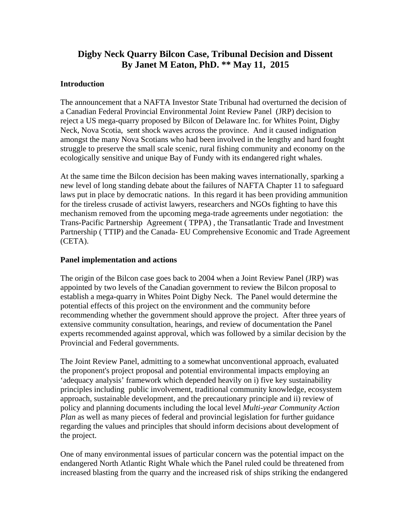# **Digby Neck Quarry Bilcon Case, Tribunal Decision and Dissent By Janet M Eaton, PhD. \*\* May 11, 2015**

## **Introduction**

The announcement that a NAFTA Investor State Tribunal had overturned the decision of a Canadian Federal Provincial Environmental Joint Review Panel (JRP) decision to reject a US mega-quarry proposed by Bilcon of Delaware Inc. for Whites Point, Digby Neck, Nova Scotia, sent shock waves across the province. And it caused indignation amongst the many Nova Scotians who had been involved in the lengthy and hard fought struggle to preserve the small scale scenic, rural fishing community and economy on the ecologically sensitive and unique Bay of Fundy with its endangered right whales.

At the same time the Bilcon decision has been making waves internationally, sparking a new level of long standing debate about the failures of NAFTA Chapter 11 to safeguard laws put in place by democratic nations. In this regard it has been providing ammunition for the tireless crusade of activist lawyers, researchers and NGOs fighting to have this mechanism removed from the upcoming mega-trade agreements under negotiation: the Trans-Pacific Partnership Agreement ( TPPA) , the Transatlantic Trade and Investment Partnership ( TTIP) and the Canada- EU Comprehensive Economic and Trade Agreement (CETA).

### **Panel implementation and actions**

The origin of the Bilcon case goes back to 2004 when a Joint Review Panel (JRP) was appointed by two levels of the Canadian government to review the Bilcon proposal to establish a mega-quarry in Whites Point Digby Neck. The Panel would determine the potential effects of this project on the environment and the community before recommending whether the government should approve the project. After three years of extensive community consultation, hearings, and review of documentation the Panel experts recommended against approval, which was followed by a similar decision by the Provincial and Federal governments.

The Joint Review Panel, admitting to a somewhat unconventional approach, evaluated the proponent's project proposal and potential environmental impacts employing an 'adequacy analysis' framework which depended heavily on i) five key sustainability principles including public involvement, traditional community knowledge, ecosystem approach, sustainable development, and the precautionary principle and ii) review of policy and planning documents including the local level *Multi-year Community Action Plan* as well as many pieces of federal and provincial legislation for further guidance regarding the values and principles that should inform decisions about development of the project.

One of many environmental issues of particular concern was the potential impact on the endangered North Atlantic Right Whale which the Panel ruled could be threatened from increased blasting from the quarry and the increased risk of ships striking the endangered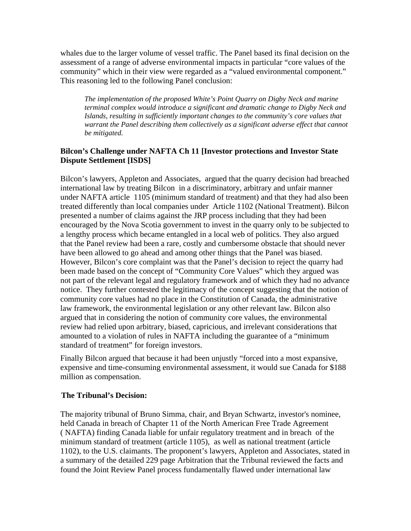whales due to the larger volume of vessel traffic. The Panel based its final decision on the assessment of a range of adverse environmental impacts in particular "core values of the community" which in their view were regarded as a "valued environmental component." This reasoning led to the following Panel conclusion:

*The implementation of the proposed White's Point Quarry on Digby Neck and marine terminal complex would introduce a significant and dramatic change to Digby Neck and Islands, resulting in sufficiently important changes to the community's core values that warrant the Panel describing them collectively as a significant adverse effect that cannot be mitigated.* 

### **Bilcon's Challenge under NAFTA Ch 11 [Investor protections and Investor State Dispute Settlement [ISDS]**

Bilcon's lawyers, Appleton and Associates, argued that the quarry decision had breached international law by treating Bilcon in a discriminatory, arbitrary and unfair manner under NAFTA article 1105 (minimum standard of treatment) and that they had also been treated differently than local companies under Article 1102 (National Treatment). Bilcon presented a number of claims against the JRP process including that they had been encouraged by the Nova Scotia government to invest in the quarry only to be subjected to a lengthy process which became entangled in a local web of politics. They also argued that the Panel review had been a rare, costly and cumbersome obstacle that should never have been allowed to go ahead and among other things that the Panel was biased. However, Bilcon's core complaint was that the Panel's decision to reject the quarry had been made based on the concept of "Community Core Values" which they argued was not part of the relevant legal and regulatory framework and of which they had no advance notice. They further contested the legitimacy of the concept suggesting that the notion of community core values had no place in the Constitution of Canada, the administrative law framework, the environmental legislation or any other relevant law. Bilcon also argued that in considering the notion of community core values, the environmental review had relied upon arbitrary, biased, capricious, and irrelevant considerations that amounted to a violation of rules in NAFTA including the guarantee of a "minimum standard of treatment" for foreign investors.

Finally Bilcon argued that because it had been unjustly "forced into a most expansive, expensive and time-consuming environmental assessment, it would sue Canada for \$188 million as compensation.

#### **The Tribunal's Decision:**

The majority tribunal of Bruno Simma, chair, and Bryan Schwartz, investor's nominee, held Canada in breach of Chapter 11 of the North American Free Trade Agreement ( NAFTA) finding Canada liable for unfair regulatory treatment and in breach of the minimum standard of treatment (article 1105), as well as national treatment (article 1102), to the U.S. claimants. The proponent's lawyers, Appleton and Associates, stated in a summary of the detailed 229 page Arbitration that the Tribunal reviewed the facts and found the Joint Review Panel process fundamentally flawed under international law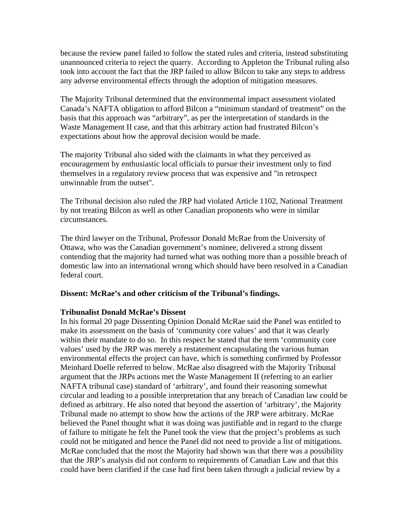because the review panel failed to follow the stated rules and criteria, instead substituting unannounced criteria to reject the quarry. According to Appleton the Tribunal ruling also took into account the fact that the JRP failed to allow Bilcon to take any steps to address any adverse environmental effects through the adoption of mitigation measures.

The Majority Tribunal determined that the environmental impact assessment violated Canada's NAFTA obligation to afford Bilcon a "minimum standard of treatment" on the basis that this approach was "arbitrary", as per the interpretation of standards in the Waste Management II case, and that this arbitrary action had frustrated Bilcon's expectations about how the approval decision would be made.

The majority Tribunal also sided with the claimants in what they perceived as encouragement by enthusiastic local officials to pursue their investment only to find themselves in a regulatory review process that was expensive and "in retrospect unwinnable from the outset".

The Tribunal decision also ruled the JRP had violated Article 1102, National Treatment by not treating Bilcon as well as other Canadian proponents who were in similar circumstances.

The third lawyer on the Tribunal, Professor Donald McRae from the University of Ottawa, who was the Canadian government's nominee, delivered a strong dissent contending that the majority had turned what was nothing more than a possible breach of domestic law into an international wrong which should have been resolved in a Canadian federal court.

#### **Dissent: McRae's and other criticism of the Tribunal's findings.**

#### **Tribunalist Donald McRae's Dissent**

In his formal 20 page Dissenting Opinion Donald McRae said the Panel was entitled to make its assessment on the basis of 'community core values' and that it was clearly within their mandate to do so. In this respect he stated that the term 'community core values' used by the JRP was merely a restatement encapsulating the various human environmental effects the project can have, which is something confirmed by Professor Meinhard Doelle referred to below. McRae also disagreed with the Majority Tribunal argument that the JRPs actions met the Waste Management II (referring to an earlier NAFTA tribunal case) standard of 'arbitrary', and found their reasoning somewhat circular and leading to a possible interpretation that any breach of Canadian law could be defined as arbitrary. He also noted that beyond the assertion of 'arbitrary', the Majority Tribunal made no attempt to show how the actions of the JRP were arbitrary. McRae believed the Panel thought what it was doing was justifiable and in regard to the charge of failure to mitigate he felt the Panel took the view that the project's problems as such could not be mitigated and hence the Panel did not need to provide a list of mitigations. McRae concluded that the most the Majority had shown was that there was a possibility that the JRP's analysis did not conform to requirements of Canadian Law and that this could have been clarified if the case had first been taken through a judicial review by a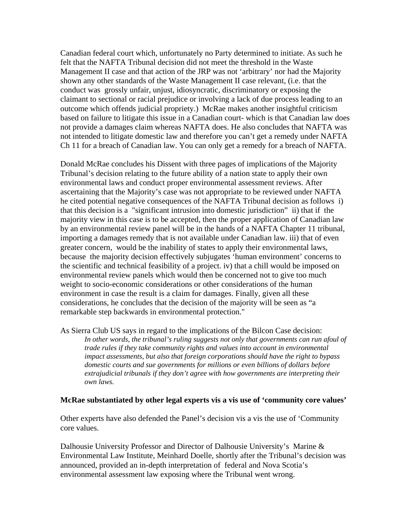Canadian federal court which, unfortunately no Party determined to initiate. As such he felt that the NAFTA Tribunal decision did not meet the threshold in the Waste Management II case and that action of the JRP was not 'arbitrary' nor had the Majority shown any other standards of the Waste Management II case relevant, (i.e. that the conduct was grossly unfair, unjust, idiosyncratic, discriminatory or exposing the claimant to sectional or racial prejudice or involving a lack of due process leading to an outcome which offends judicial propriety.) McRae makes another insightful criticism based on failure to litigate this issue in a Canadian court- which is that Canadian law does not provide a damages claim whereas NAFTA does. He also concludes that NAFTA was not intended to litigate domestic law and therefore you can't get a remedy under NAFTA Ch 11 for a breach of Canadian law. You can only get a remedy for a breach of NAFTA.

Donald McRae concludes his Dissent with three pages of implications of the Majority Tribunal's decision relating to the future ability of a nation state to apply their own environmental laws and conduct proper environmental assessment reviews. After ascertaining that the Majority's case was not appropriate to be reviewed under NAFTA he cited potential negative consequences of the NAFTA Tribunal decision as follows i) that this decision is a "significant intrusion into domestic jurisdiction" ii) that if the majority view in this case is to be accepted, then the proper application of Canadian law by an environmental review panel will be in the hands of a NAFTA Chapter 11 tribunal, importing a damages remedy that is not available under Canadian law. iii) that of even greater concern, would be the inability of states to apply their environmental laws, because the majority decision effectively subjugates 'human environment' concerns to the scientific and technical feasibility of a project. iv) that a chill would be imposed on environmental review panels which would then be concerned not to give too much weight to socio-economic considerations or other considerations of the human environment in case the result is a claim for damages. Finally, given all these considerations, he concludes that the decision of the majority will be seen as "a remarkable step backwards in environmental protection."

As Sierra Club US says in regard to the implications of the Bilcon Case decision: *In other words, the tribunal's ruling suggests not only that governments can run afoul of trade rules if they take community rights and values into account in environmental impact assessments, but also that foreign corporations should have the right to bypass domestic courts and sue governments for millions or even billions of dollars before extrajudicial tribunals if they don't agree with how governments are interpreting their own laws.* 

#### **McRae substantiated by other legal experts vis a vis use of 'community core values'**

Other experts have also defended the Panel's decision vis a vis the use of 'Community core values.

Dalhousie University Professor and Director of Dalhousie University's Marine & Environmental Law Institute, Meinhard Doelle, shortly after the Tribunal's decision was announced, provided an in-depth interpretation of federal and Nova Scotia's environmental assessment law exposing where the Tribunal went wrong.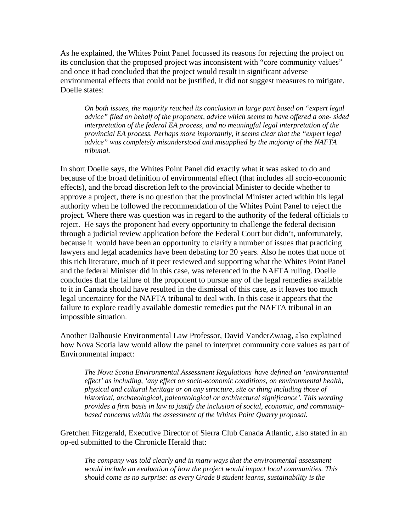As he explained, the Whites Point Panel focussed its reasons for rejecting the project on its conclusion that the proposed project was inconsistent with "core community values" and once it had concluded that the project would result in significant adverse environmental effects that could not be justified, it did not suggest measures to mitigate. Doelle states:

*On both issues, the majority reached its conclusion in large part based on "expert legal advice" filed on behalf of the proponent, advice which seems to have offered a one- sided interpretation of the federal EA process, and no meaningful legal interpretation of the provincial EA process. Perhaps more importantly, it seems clear that the "expert legal advice" was completely misunderstood and misapplied by the majority of the NAFTA tribunal.* 

In short Doelle says, the Whites Point Panel did exactly what it was asked to do and because of the broad definition of environmental effect (that includes all socio-economic effects), and the broad discretion left to the provincial Minister to decide whether to approve a project, there is no question that the provincial Minister acted within his legal authority when he followed the recommendation of the Whites Point Panel to reject the project. Where there was question was in regard to the authority of the federal officials to reject. He says the proponent had every opportunity to challenge the federal decision through a judicial review application before the Federal Court but didn't, unfortunately, because it would have been an opportunity to clarify a number of issues that practicing lawyers and legal academics have been debating for 20 years. Also he notes that none of this rich literature, much of it peer reviewed and supporting what the Whites Point Panel and the federal Minister did in this case, was referenced in the NAFTA ruling. Doelle concludes that the failure of the proponent to pursue any of the legal remedies available to it in Canada should have resulted in the dismissal of this case, as it leaves too much legal uncertainty for the NAFTA tribunal to deal with. In this case it appears that the failure to explore readily available domestic remedies put the NAFTA tribunal in an impossible situation.

Another Dalhousie Environmental Law Professor, David VanderZwaag, also explained how Nova Scotia law would allow the panel to interpret community core values as part of Environmental impact:

*The Nova Scotia Environmental Assessment Regulations have defined an 'environmental effect' as including, 'any effect on socio-economic conditions, on environmental health, physical and cultural heritage or on any structure, site or thing including those of historical, archaeological, paleontological or architectural significance'. This wording provides a firm basis in law to justify the inclusion of social, economic, and communitybased concerns within the assessment of the Whites Point Quarry proposal.* 

Gretchen Fitzgerald, Executive Director of Sierra Club Canada Atlantic, also stated in an op-ed submitted to the Chronicle Herald that:

*The company was told clearly and in many ways that the environmental assessment would include an evaluation of how the project would impact local communities. This should come as no surprise: as every Grade 8 student learns, sustainability is the*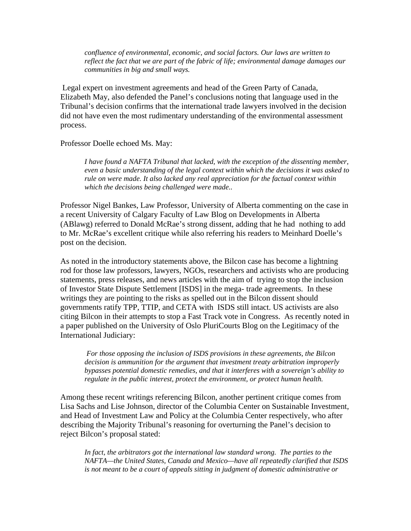*confluence of environmental, economic, and social factors. Our laws are written to reflect the fact that we are part of the fabric of life; environmental damage damages our communities in big and small ways.* 

 Legal expert on investment agreements and head of the Green Party of Canada, Elizabeth May, also defended the Panel's conclusions noting that language used in the Tribunal's decision confirms that the international trade lawyers involved in the decision did not have even the most rudimentary understanding of the environmental assessment process.

Professor Doelle echoed Ms. May:

*I have found a NAFTA Tribunal that lacked, with the exception of the dissenting member, even a basic understanding of the legal context within which the decisions it was asked to rule on were made. It also lacked any real appreciation for the factual context within which the decisions being challenged were made..* 

Professor Nigel Bankes, Law Professor, University of Alberta commenting on the case in a recent University of Calgary Faculty of Law Blog on Developments in Alberta (ABlawg) referred to Donald McRae's strong dissent, adding that he had nothing to add to Mr. McRae's excellent critique while also referring his readers to Meinhard Doelle's post on the decision.

As noted in the introductory statements above, the Bilcon case has become a lightning rod for those law professors, lawyers, NGOs, researchers and activists who are producing statements, press releases, and news articles with the aim of trying to stop the inclusion of Investor State Dispute Settlement [ISDS] in the mega- trade agreements. In these writings they are pointing to the risks as spelled out in the Bilcon dissent should governments ratify TPP, TTIP, and CETA with ISDS still intact. US activists are also citing Bilcon in their attempts to stop a Fast Track vote in Congress. As recently noted in a paper published on the University of Oslo PluriCourts Blog on the Legitimacy of the International Judiciary:

*For those opposing the inclusion of ISDS provisions in these agreements, the Bilcon decision is ammunition for the argument that investment treaty arbitration improperly bypasses potential domestic remedies, and that it interferes with a sovereign's ability to regulate in the public interest, protect the environment, or protect human health.* 

Among these recent writings referencing Bilcon, another pertinent critique comes from Lisa Sachs and Lise Johnson, director of the Columbia Center on Sustainable Investment, and Head of Investment Law and Policy at the Columbia Center respectively, who after describing the Majority Tribunal's reasoning for overturning the Panel's decision to reject Bilcon's proposal stated:

In fact, the arbitrators got the international law standard wrong. The parties to the *NAFTA—the United States, Canada and Mexico—have all repeatedly clarified that ISDS is not meant to be a court of appeals sitting in judgment of domestic administrative or*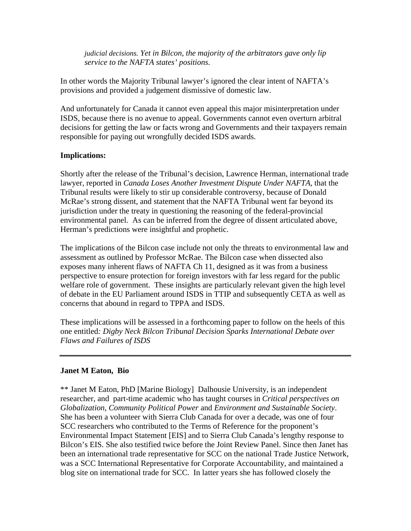*judicial decisions. Yet in Bilcon, the majority of the arbitrators gave only lip service to the NAFTA states' positions.*

In other words the Majority Tribunal lawyer's ignored the clear intent of NAFTA's provisions and provided a judgement dismissive of domestic law.

And unfortunately for Canada it cannot even appeal this major misinterpretation under ISDS, because there is no avenue to appeal. Governments cannot even overturn arbitral decisions for getting the law or facts wrong and Governments and their taxpayers remain responsible for paying out wrongfully decided ISDS awards.

### **Implications:**

Shortly after the release of the Tribunal's decision, Lawrence Herman, international trade lawyer, reported in *Canada Loses Another Investment Dispute Under NAFTA,* that the Tribunal results were likely to stir up considerable controversy, because of Donald McRae's strong dissent, and statement that the NAFTA Tribunal went far beyond its jurisdiction under the treaty in questioning the reasoning of the federal-provincial environmental panel. As can be inferred from the degree of dissent articulated above, Herman's predictions were insightful and prophetic.

The implications of the Bilcon case include not only the threats to environmental law and assessment as outlined by Professor McRae. The Bilcon case when dissected also exposes many inherent flaws of NAFTA Ch 11, designed as it was from a business perspective to ensure protection for foreign investors with far less regard for the public welfare role of government. These insights are particularly relevant given the high level of debate in the EU Parliament around ISDS in TTIP and subsequently CETA as well as concerns that abound in regard to TPPA and ISDS.

These implications will be assessed in a forthcoming paper to follow on the heels of this one entitled*: Digby Neck Bilcon Tribunal Decision Sparks International Debate over Flaws and Failures of ISDS* 

# **Janet M Eaton, Bio**

\*\* Janet M Eaton, PhD [Marine Biology] Dalhousie University, is an independent researcher, and part-time academic who has taught courses in *Critical perspectives on Globalization*, *Community Political Power* and *Environment and Sustainable Society*. She has been a volunteer with Sierra Club Canada for over a decade, was one of four SCC researchers who contributed to the Terms of Reference for the proponent's Environmental Impact Statement [EIS] and to Sierra Club Canada's lengthy response to Bilcon's EIS. She also testified twice before the Joint Review Panel. Since then Janet has been an international trade representative for SCC on the national Trade Justice Network, was a SCC International Representative for Corporate Accountability, and maintained a blog site on international trade for SCC. In latter years she has followed closely the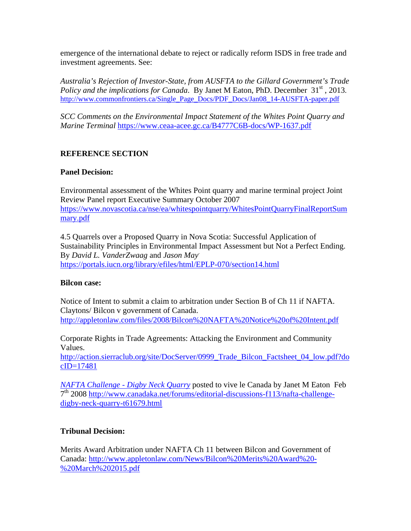emergence of the international debate to reject or radically reform ISDS in free trade and investment agreements. See:

*Australia's Rejection of Investor-State, from AUSFTA to the Gillard Government's Trade Policy and the implications for Canada.* By Janet M Eaton, PhD. December 31<sup>st</sup>, 2013. http://www.commonfrontiers.ca/Single\_Page\_Docs/PDF\_Docs/Jan08\_14-AUSFTA-paper.pdf

*SCC Comments on the Environmental Impact Statement of the Whites Point Quarry and Marine Terminal* https://www.ceaa-acee.gc.ca/B4777C6B-docs/WP-1637.pdf

# **REFERENCE SECTION**

### **Panel Decision:**

Environmental assessment of the Whites Point quarry and marine terminal project Joint Review Panel report Executive Summary October 2007 https://www.novascotia.ca/nse/ea/whitespointquarry/WhitesPointQuarryFinalReportSum mary.pdf

4.5 Quarrels over a Proposed Quarry in Nova Scotia: Successful Application of Sustainability Principles in Environmental Impact Assessment but Not a Perfect Ending. By *David L. VanderZwaag* and *Jason May*. https://portals.iucn.org/library/efiles/html/EPLP-070/section14.html

#### **Bilcon case:**

Notice of Intent to submit a claim to arbitration under Section B of Ch 11 if NAFTA. Claytons/ Bilcon v government of Canada. http://appletonlaw.com/files/2008/Bilcon%20NAFTA%20Notice%20of%20Intent.pdf

Corporate Rights in Trade Agreements: Attacking the Environment and Community Values.

http://action.sierraclub.org/site/DocServer/0999\_Trade\_Bilcon\_Factsheet\_04\_low.pdf?do cID=17481

*NAFTA Challenge - Digby Neck Quarry* posted to vive le Canada by Janet M Eaton Feb 7th 2008 http://www.canadaka.net/forums/editorial-discussions-f113/nafta-challengedigby-neck-quarry-t61679.html

# **Tribunal Decision:**

Merits Award Arbitration under NAFTA Ch 11 between Bilcon and Government of Canada: http://www.appletonlaw.com/News/Bilcon%20Merits%20Award%20- %20March%202015.pdf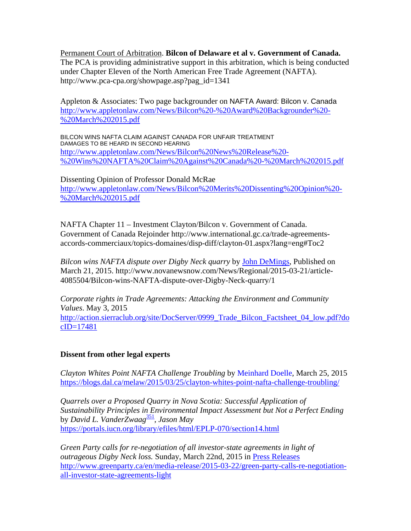Permanent Court of Arbitration. **Bilcon of Delaware et al v. Government of Canada.**  The PCA is providing administrative support in this arbitration, which is being conducted under Chapter Eleven of the North American Free Trade Agreement (NAFTA). http://www.pca-cpa.org/showpage.asp?pag\_id=1341

Appleton & Associates: Two page backgrounder on NAFTA Award: Bilcon v. Canada http://www.appletonlaw.com/News/Bilcon%20-%20Award%20Backgrounder%20- %20March%202015.pdf

BILCON WINS NAFTA CLAIM AGAINST CANADA FOR UNFAIR TREATMENT DAMAGES TO BE HEARD IN SECOND HEARING http://www.appletonlaw.com/News/Bilcon%20News%20Release%20- %20Wins%20NAFTA%20Claim%20Against%20Canada%20-%20March%202015.pdf

Dissenting Opinion of Professor Donald McRae http://www.appletonlaw.com/News/Bilcon%20Merits%20Dissenting%20Opinion%20- %20March%202015.pdf

NAFTA Chapter 11 – Investment Clayton/Bilcon v. Government of Canada. Government of Canada Rejoinder http://www.international.gc.ca/trade-agreementsaccords-commerciaux/topics-domaines/disp-diff/clayton-01.aspx?lang=eng#Toc2

*Bilcon wins NAFTA dispute over Digby Neck quarry* by John DeMings, Published on March 21, 2015. http://www.novanewsnow.com/News/Regional/2015-03-21/article-4085504/Bilcon-wins-NAFTA-dispute-over-Digby-Neck-quarry/1

*Corporate rights in Trade Agreements: Attacking the Environment and Community Values*. May 3, 2015 http://action.sierraclub.org/site/DocServer/0999\_Trade\_Bilcon\_Factsheet\_04\_low.pdf?do cID=17481

# **Dissent from other legal experts**

*Clayton Whites Point NAFTA Challenge Troubling* by Meinhard Doelle, March 25, 2015 https://blogs.dal.ca/melaw/2015/03/25/clayton-whites-point-nafta-challenge-troubling/

*Quarrels over a Proposed Quarry in Nova Scotia: Successful Application of Sustainability Principles in Environmental Impact Assessment but Not a Perfect Ending* by *David L. VanderZwaag*351, *Jason May*  https://portals.iucn.org/library/efiles/html/EPLP-070/section14.html

*Green Party calls for re-negotiation of all investor-state agreements in light of outrageous Digby Neck loss.* Sunday, March 22nd, 2015 in Press Releases http://www.greenparty.ca/en/media-release/2015-03-22/green-party-calls-re-negotiationall-investor-state-agreements-light